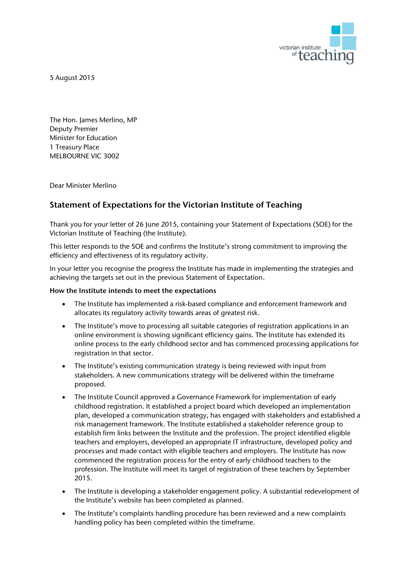

5 August 2015

The Hon. James Merlino, MP Deputy Premier Minister for Education 1 Treasury Place MELBOURNE VIC 3002

Dear Minister Merlino

## **Statement of Expectations for the Victorian Institute of Teaching**

Thank you for your letter of 26 June 2015, containing your Statement of Expectations (SOE) for the Victorian Institute of Teaching (the Institute).

This letter responds to the SOE and confirms the Institute's strong commitment to improving the efficiency and effectiveness of its regulatory activity.

In your letter you recognise the progress the Institute has made in implementing the strategies and achieving the targets set out in the previous Statement of Expectation.

## **How the Institute intends to meet the expectations**

- The Institute has implemented a risk-based compliance and enforcement framework and allocates its regulatory activity towards areas of greatest risk.
- The Institute's move to processing all suitable categories of registration applications in an online environment is showing significant efficiency gains. The Institute has extended its online process to the early childhood sector and has commenced processing applications for registration in that sector.
- The Institute's existing communication strategy is being reviewed with input from stakeholders. A new communications strategy will be delivered within the timeframe proposed.
- The Institute Council approved a Governance Framework for implementation of early childhood registration. It established a project board which developed an implementation plan, developed a communication strategy, has engaged with stakeholders and established a risk management framework. The Institute established a stakeholder reference group to establish firm links between the Institute and the profession. The project identified eligible teachers and employers, developed an appropriate IT infrastructure, developed policy and processes and made contact with eligible teachers and employers. The Institute has now commenced the registration process for the entry of early childhood teachers to the profession. The Institute will meet its target of registration of these teachers by September 2015.
- The Institute is developing a stakeholder engagement policy. A substantial redevelopment of the Institute's website has been completed as planned.
- The Institute's complaints handling procedure has been reviewed and a new complaints handling policy has been completed within the timeframe.